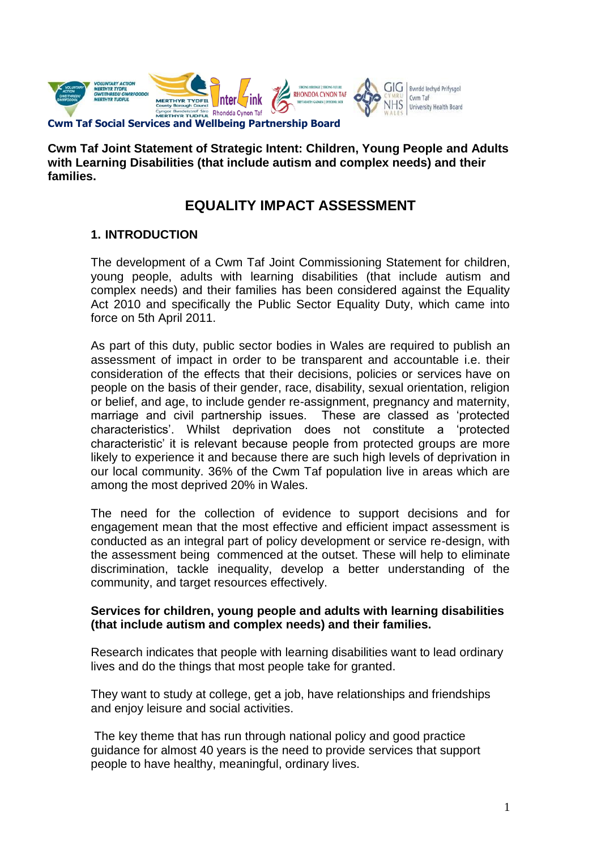

**Cwm Taf Joint Statement of Strategic Intent: Children, Young People and Adults with Learning Disabilities (that include autism and complex needs) and their families.**

# **EQUALITY IMPACT ASSESSMENT**

## **1. INTRODUCTION**

The development of a Cwm Taf Joint Commissioning Statement for children, young people, adults with learning disabilities (that include autism and complex needs) and their families has been considered against the Equality Act 2010 and specifically the Public Sector Equality Duty, which came into force on 5th April 2011.

As part of this duty, public sector bodies in Wales are required to publish an assessment of impact in order to be transparent and accountable i.e. their consideration of the effects that their decisions, policies or services have on people on the basis of their gender, race, disability, sexual orientation, religion or belief, and age, to include gender re-assignment, pregnancy and maternity, marriage and civil partnership issues. These are classed as 'protected characteristics'. Whilst deprivation does not constitute a 'protected characteristic' it is relevant because people from protected groups are more likely to experience it and because there are such high levels of deprivation in our local community. 36% of the Cwm Taf population live in areas which are among the most deprived 20% in Wales.

The need for the collection of evidence to support decisions and for engagement mean that the most effective and efficient impact assessment is conducted as an integral part of policy development or service re-design, with the assessment being commenced at the outset. These will help to eliminate discrimination, tackle inequality, develop a better understanding of the community, and target resources effectively.

### **Services for children, young people and adults with learning disabilities (that include autism and complex needs) and their families.**

Research indicates that people with learning disabilities want to lead ordinary lives and do the things that most people take for granted.

They want to study at college, get a job, have relationships and friendships and enjoy leisure and social activities.

The key theme that has run through national policy and good practice guidance for almost 40 years is the need to provide services that support people to have healthy, meaningful, ordinary lives.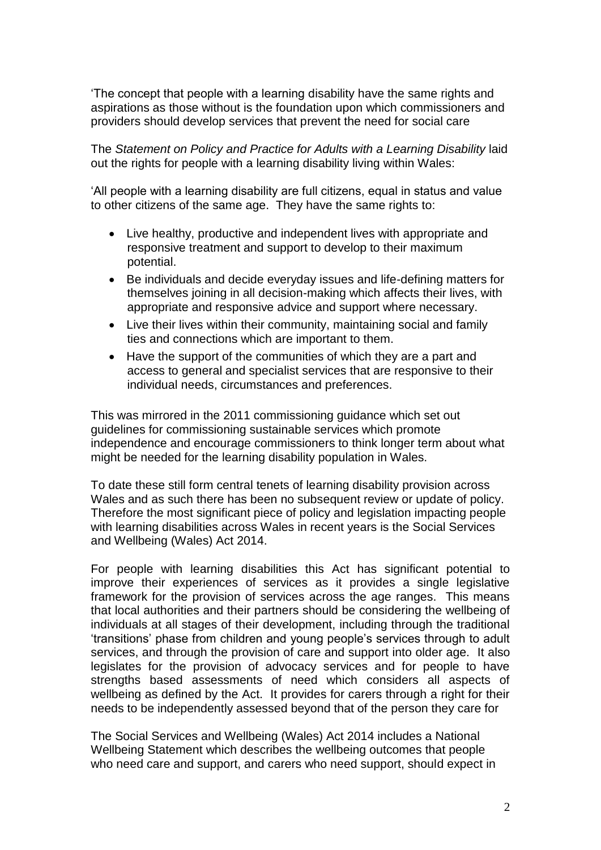'The concept that people with a learning disability have the same rights and aspirations as those without is the foundation upon which commissioners and providers should develop services that prevent the need for social care

The *Statement on Policy and Practice for Adults with a Learning Disability* laid out the rights for people with a learning disability living within Wales:

'All people with a learning disability are full citizens, equal in status and value to other citizens of the same age. They have the same rights to:

- Live healthy, productive and independent lives with appropriate and responsive treatment and support to develop to their maximum potential.
- Be individuals and decide everyday issues and life-defining matters for themselves joining in all decision-making which affects their lives, with appropriate and responsive advice and support where necessary.
- Live their lives within their community, maintaining social and family ties and connections which are important to them.
- Have the support of the communities of which they are a part and access to general and specialist services that are responsive to their individual needs, circumstances and preferences.

This was mirrored in the 2011 commissioning guidance which set out guidelines for commissioning sustainable services which promote independence and encourage commissioners to think longer term about what might be needed for the learning disability population in Wales.

To date these still form central tenets of learning disability provision across Wales and as such there has been no subsequent review or update of policy. Therefore the most significant piece of policy and legislation impacting people with learning disabilities across Wales in recent years is the Social Services and Wellbeing (Wales) Act 2014.

For people with learning disabilities this Act has significant potential to improve their experiences of services as it provides a single legislative framework for the provision of services across the age ranges. This means that local authorities and their partners should be considering the wellbeing of individuals at all stages of their development, including through the traditional 'transitions' phase from children and young people's services through to adult services, and through the provision of care and support into older age. It also legislates for the provision of advocacy services and for people to have strengths based assessments of need which considers all aspects of wellbeing as defined by the Act. It provides for carers through a right for their needs to be independently assessed beyond that of the person they care for

The Social Services and Wellbeing (Wales) Act 2014 includes a National Wellbeing Statement which describes the wellbeing outcomes that people who need care and support, and carers who need support, should expect in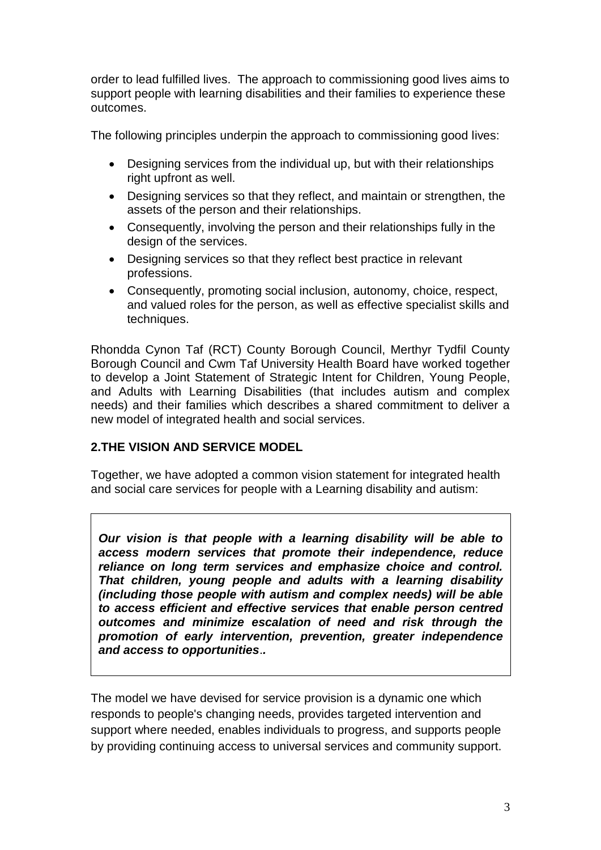order to lead fulfilled lives. The approach to commissioning good lives aims to support people with learning disabilities and their families to experience these outcomes.

The following principles underpin the approach to commissioning good lives:

- Designing services from the individual up, but with their relationships right upfront as well.
- Designing services so that they reflect, and maintain or strengthen, the assets of the person and their relationships.
- Consequently, involving the person and their relationships fully in the design of the services.
- Designing services so that they reflect best practice in relevant professions.
- Consequently, promoting social inclusion, autonomy, choice, respect, and valued roles for the person, as well as effective specialist skills and techniques.

Rhondda Cynon Taf (RCT) County Borough Council, Merthyr Tydfil County Borough Council and Cwm Taf University Health Board have worked together to develop a Joint Statement of Strategic Intent for Children, Young People, and Adults with Learning Disabilities (that includes autism and complex needs) and their families which describes a shared commitment to deliver a new model of integrated health and social services.

# **2.THE VISION AND SERVICE MODEL**

Together, we have adopted a common vision statement for integrated health and social care services for people with a Learning disability and autism:

*Our vision is that people with a learning disability will be able to access modern services that promote their independence, reduce reliance on long term services and emphasize choice and control. That children, young people and adults with a learning disability (including those people with autism and complex needs) will be able to access efficient and effective services that enable person centred outcomes and minimize escalation of need and risk through the promotion of early intervention, prevention, greater independence and access to opportunities*.*.*

The model we have devised for service provision is a dynamic one which responds to people's changing needs, provides targeted intervention and support where needed, enables individuals to progress, and supports people by providing continuing access to universal services and community support.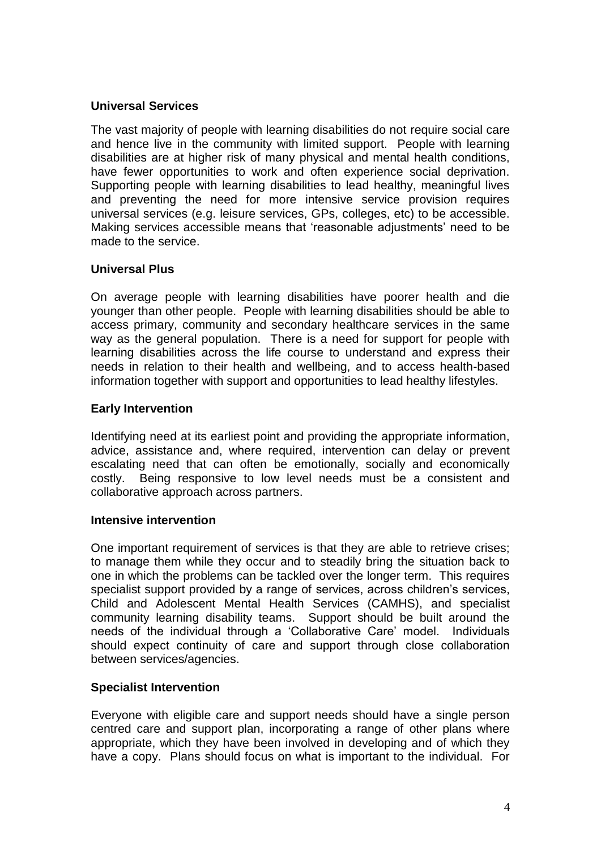# **Universal Services**

The vast majority of people with learning disabilities do not require social care and hence live in the community with limited support. People with learning disabilities are at higher risk of many physical and mental health conditions, have fewer opportunities to work and often experience social deprivation. Supporting people with learning disabilities to lead healthy, meaningful lives and preventing the need for more intensive service provision requires universal services (e.g. leisure services, GPs, colleges, etc) to be accessible. Making services accessible means that 'reasonable adjustments' need to be made to the service.

### **Universal Plus**

On average people with learning disabilities have poorer health and die younger than other people. People with learning disabilities should be able to access primary, community and secondary healthcare services in the same way as the general population. There is a need for support for people with learning disabilities across the life course to understand and express their needs in relation to their health and wellbeing, and to access health-based information together with support and opportunities to lead healthy lifestyles.

### **Early Intervention**

Identifying need at its earliest point and providing the appropriate information, advice, assistance and, where required, intervention can delay or prevent escalating need that can often be emotionally, socially and economically costly. Being responsive to low level needs must be a consistent and collaborative approach across partners.

### **Intensive intervention**

One important requirement of services is that they are able to retrieve crises; to manage them while they occur and to steadily bring the situation back to one in which the problems can be tackled over the longer term. This requires specialist support provided by a range of services, across children's services, Child and Adolescent Mental Health Services (CAMHS), and specialist community learning disability teams. Support should be built around the needs of the individual through a 'Collaborative Care' model. Individuals should expect continuity of care and support through close collaboration between services/agencies.

# **Specialist Intervention**

Everyone with eligible care and support needs should have a single person centred care and support plan, incorporating a range of other plans where appropriate, which they have been involved in developing and of which they have a copy. Plans should focus on what is important to the individual. For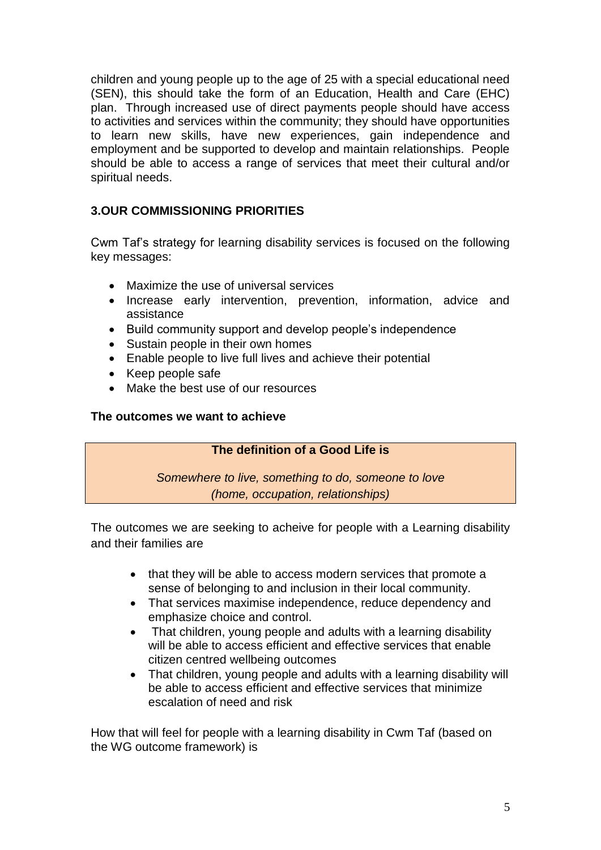children and young people up to the age of 25 with a special educational need (SEN), this should take the form of an Education, Health and Care (EHC) plan. Through increased use of direct payments people should have access to activities and services within the community; they should have opportunities to learn new skills, have new experiences, gain independence and employment and be supported to develop and maintain relationships. People should be able to access a range of services that meet their cultural and/or spiritual needs.

# **3.OUR COMMISSIONING PRIORITIES**

Cwm Taf's strategy for learning disability services is focused on the following key messages:

- Maximize the use of universal services
- Increase early intervention, prevention, information, advice and assistance
- Build community support and develop people's independence
- Sustain people in their own homes
- Enable people to live full lives and achieve their potential
- Keep people safe
- Make the best use of our resources

### **The outcomes we want to achieve**

### **The definition of a Good Life is**

*Somewhere to live, something to do, someone to love (home, occupation, relationships)*

The outcomes we are seeking to acheive for people with a Learning disability and their families are

- that they will be able to access modern services that promote a sense of belonging to and inclusion in their local community.
- That services maximise independence, reduce dependency and emphasize choice and control.
- That children, young people and adults with a learning disability will be able to access efficient and effective services that enable citizen centred wellbeing outcomes
- That children, young people and adults with a learning disability will be able to access efficient and effective services that minimize escalation of need and risk

How that will feel for people with a learning disability in Cwm Taf (based on the WG outcome framework) is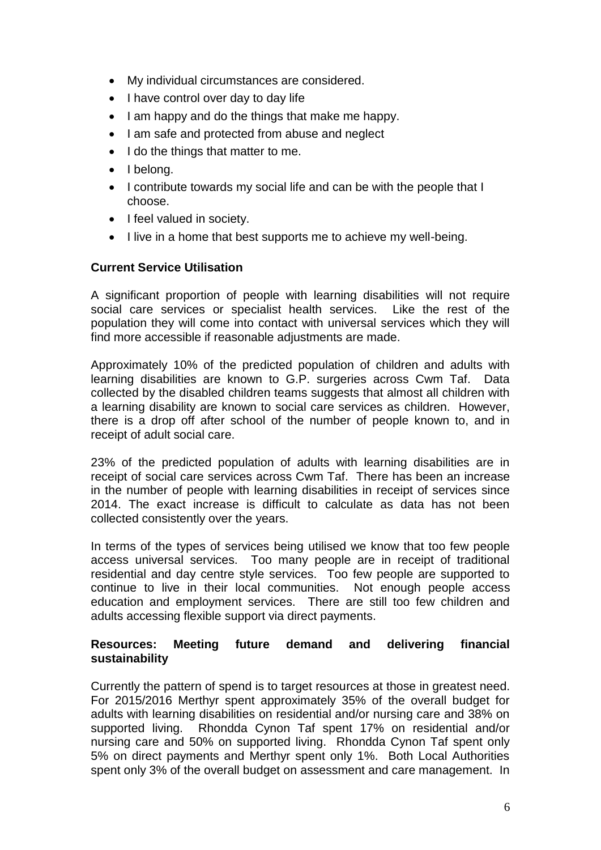- My individual circumstances are considered.
- I have control over day to day life
- I am happy and do the things that make me happy.
- I am safe and protected from abuse and neglect
- I do the things that matter to me.
- I belong.
- I contribute towards my social life and can be with the people that I choose.
- I feel valued in society.
- I live in a home that best supports me to achieve my well-being.

## **Current Service Utilisation**

A significant proportion of people with learning disabilities will not require social care services or specialist health services. Like the rest of the population they will come into contact with universal services which they will find more accessible if reasonable adjustments are made.

Approximately 10% of the predicted population of children and adults with learning disabilities are known to G.P. surgeries across Cwm Taf. Data collected by the disabled children teams suggests that almost all children with a learning disability are known to social care services as children. However, there is a drop off after school of the number of people known to, and in receipt of adult social care.

23% of the predicted population of adults with learning disabilities are in receipt of social care services across Cwm Taf. There has been an increase in the number of people with learning disabilities in receipt of services since 2014. The exact increase is difficult to calculate as data has not been collected consistently over the years.

In terms of the types of services being utilised we know that too few people access universal services. Too many people are in receipt of traditional residential and day centre style services. Too few people are supported to continue to live in their local communities. Not enough people access education and employment services. There are still too few children and adults accessing flexible support via direct payments.

## **Resources: Meeting future demand and delivering financial sustainability**

Currently the pattern of spend is to target resources at those in greatest need. For 2015/2016 Merthyr spent approximately 35% of the overall budget for adults with learning disabilities on residential and/or nursing care and 38% on supported living. Rhondda Cynon Taf spent 17% on residential and/or nursing care and 50% on supported living. Rhondda Cynon Taf spent only 5% on direct payments and Merthyr spent only 1%. Both Local Authorities spent only 3% of the overall budget on assessment and care management. In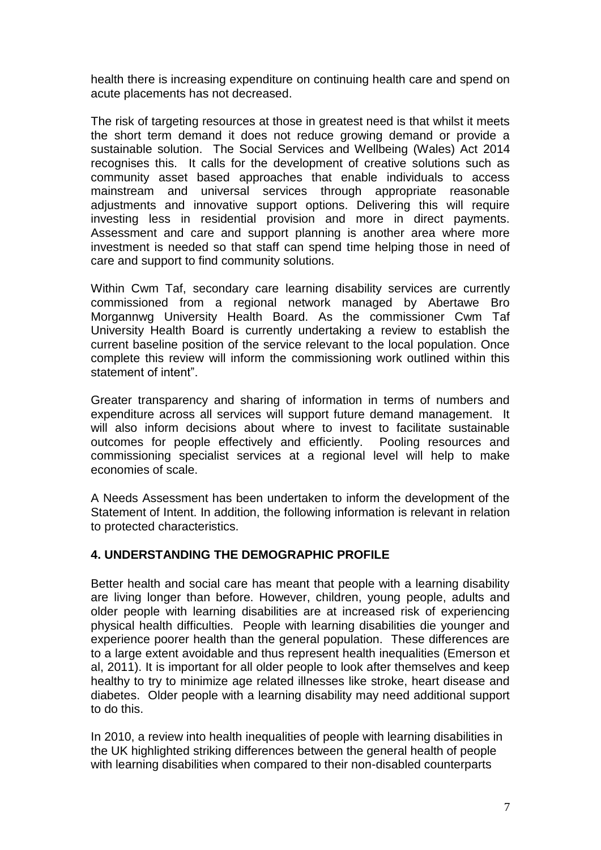health there is increasing expenditure on continuing health care and spend on acute placements has not decreased.

The risk of targeting resources at those in greatest need is that whilst it meets the short term demand it does not reduce growing demand or provide a sustainable solution. The Social Services and Wellbeing (Wales) Act 2014 recognises this. It calls for the development of creative solutions such as community asset based approaches that enable individuals to access mainstream and universal services through appropriate reasonable adjustments and innovative support options. Delivering this will require investing less in residential provision and more in direct payments. Assessment and care and support planning is another area where more investment is needed so that staff can spend time helping those in need of care and support to find community solutions.

Within Cwm Taf, secondary care learning disability services are currently commissioned from a regional network managed by Abertawe Bro Morgannwg University Health Board. As the commissioner Cwm Taf University Health Board is currently undertaking a review to establish the current baseline position of the service relevant to the local population. Once complete this review will inform the commissioning work outlined within this statement of intent".

Greater transparency and sharing of information in terms of numbers and expenditure across all services will support future demand management. It will also inform decisions about where to invest to facilitate sustainable outcomes for people effectively and efficiently. Pooling resources and commissioning specialist services at a regional level will help to make economies of scale.

A Needs Assessment has been undertaken to inform the development of the Statement of Intent. In addition, the following information is relevant in relation to protected characteristics.

# **4. UNDERSTANDING THE DEMOGRAPHIC PROFILE**

Better health and social care has meant that people with a learning disability are living longer than before. However, children, young people, adults and older people with learning disabilities are at increased risk of experiencing physical health difficulties. People with learning disabilities die younger and experience poorer health than the general population. These differences are to a large extent avoidable and thus represent health inequalities (Emerson et al, 2011). It is important for all older people to look after themselves and keep healthy to try to minimize age related illnesses like stroke, heart disease and diabetes. Older people with a learning disability may need additional support to do this.

In 2010, a review into health inequalities of people with learning disabilities in the UK highlighted striking differences between the general health of people with learning disabilities when compared to their non-disabled counterparts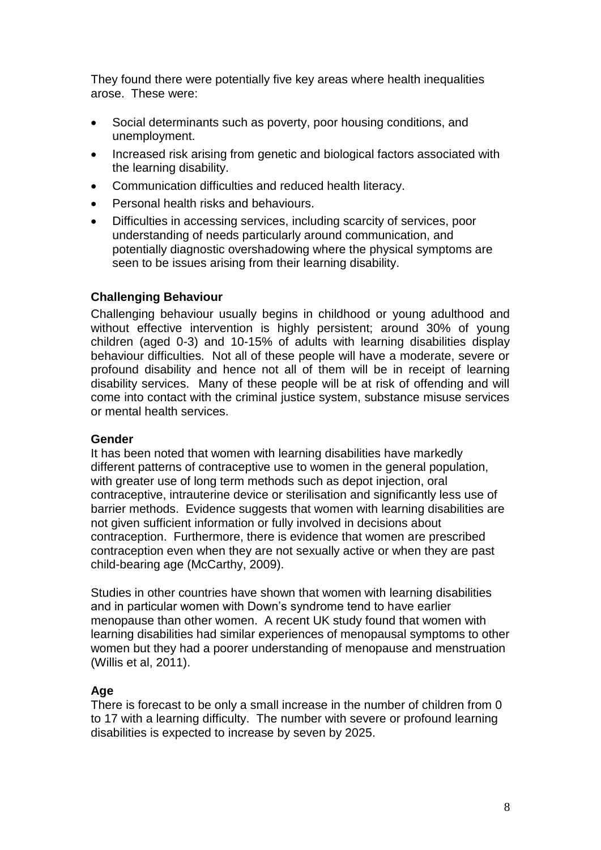They found there were potentially five key areas where health inequalities arose. These were:

- Social determinants such as poverty, poor housing conditions, and unemployment.
- Increased risk arising from genetic and biological factors associated with the learning disability.
- Communication difficulties and reduced health literacy.
- Personal health risks and behaviours.
- Difficulties in accessing services, including scarcity of services, poor understanding of needs particularly around communication, and potentially diagnostic overshadowing where the physical symptoms are seen to be issues arising from their learning disability.

## **Challenging Behaviour**

Challenging behaviour usually begins in childhood or young adulthood and without effective intervention is highly persistent; around 30% of young children (aged 0-3) and 10-15% of adults with learning disabilities display behaviour difficulties. Not all of these people will have a moderate, severe or profound disability and hence not all of them will be in receipt of learning disability services. Many of these people will be at risk of offending and will come into contact with the criminal justice system, substance misuse services or mental health services.

### **Gender**

It has been noted that women with learning disabilities have markedly different patterns of contraceptive use to women in the general population, with greater use of long term methods such as depot injection, oral contraceptive, intrauterine device or sterilisation and significantly less use of barrier methods. Evidence suggests that women with learning disabilities are not given sufficient information or fully involved in decisions about contraception. Furthermore, there is evidence that women are prescribed contraception even when they are not sexually active or when they are past child-bearing age (McCarthy, 2009).

Studies in other countries have shown that women with learning disabilities and in particular women with Down's syndrome tend to have earlier menopause than other women. A recent UK study found that women with learning disabilities had similar experiences of menopausal symptoms to other women but they had a poorer understanding of menopause and menstruation (Willis et al, 2011).

# **Age**

There is forecast to be only a small increase in the number of children from 0 to 17 with a learning difficulty. The number with severe or profound learning disabilities is expected to increase by seven by 2025.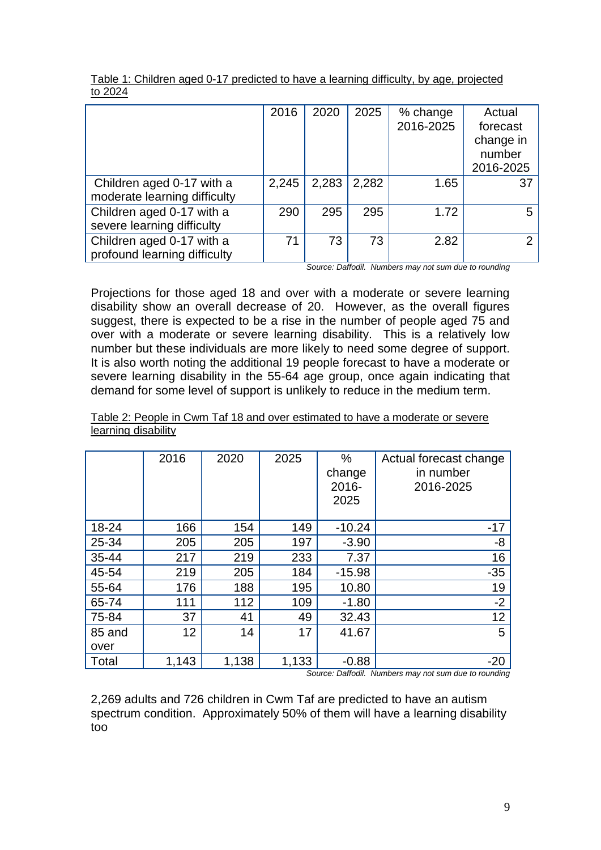|                                                           | 2016  | 2020  | 2025  | % change<br>2016-2025 | Actual<br>forecast<br>change in<br>number<br>2016-2025 |
|-----------------------------------------------------------|-------|-------|-------|-----------------------|--------------------------------------------------------|
| Children aged 0-17 with a<br>moderate learning difficulty | 2,245 | 2,283 | 2,282 | 1.65                  | 37                                                     |
| Children aged 0-17 with a<br>severe learning difficulty   | 290   | 295   | 295   | 1.72                  | 5                                                      |
| Children aged 0-17 with a<br>profound learning difficulty | 71    | 73    | 73    | 2.82                  | ◠                                                      |

Table 1: Children aged 0-17 predicted to have a learning difficulty, by age, projected to 2024

*Source: Daffodil. Numbers may not sum due to rounding*

Projections for those aged 18 and over with a moderate or severe learning disability show an overall decrease of 20. However, as the overall figures suggest, there is expected to be a rise in the number of people aged 75 and over with a moderate or severe learning disability. This is a relatively low number but these individuals are more likely to need some degree of support. It is also worth noting the additional 19 people forecast to have a moderate or severe learning disability in the 55-64 age group, once again indicating that demand for some level of support is unlikely to reduce in the medium term.

|        | 2016  | 2020  | 2025  | %<br>change<br>2016-<br>2025 | Actual forecast change<br>in number<br>2016-2025 |
|--------|-------|-------|-------|------------------------------|--------------------------------------------------|
| 18-24  | 166   | 154   | 149   | $-10.24$                     | $-17$                                            |
| 25-34  | 205   | 205   | 197   | $-3.90$                      | -8                                               |
| 35-44  | 217   | 219   | 233   | 7.37                         | 16                                               |
| 45-54  | 219   | 205   | 184   | $-15.98$                     | $-35$                                            |
| 55-64  | 176   | 188   | 195   | 10.80                        | 19                                               |
| 65-74  | 111   | 112   | 109   | $-1.80$                      | $-2$                                             |
| 75-84  | 37    | 41    | 49    | 32.43                        | 12                                               |
| 85 and | 12    | 14    | 17    | 41.67                        | 5                                                |
| over   |       |       |       |                              |                                                  |
| Total  | 1,143 | 1,138 | 1,133 | $-0.88$                      | $-20$                                            |

Table 2: People in Cwm Taf 18 and over estimated to have a moderate or severe learning disability

*Source: Daffodil. Numbers may not sum due to rounding*

2,269 adults and 726 children in Cwm Taf are predicted to have an autism spectrum condition. Approximately 50% of them will have a learning disability too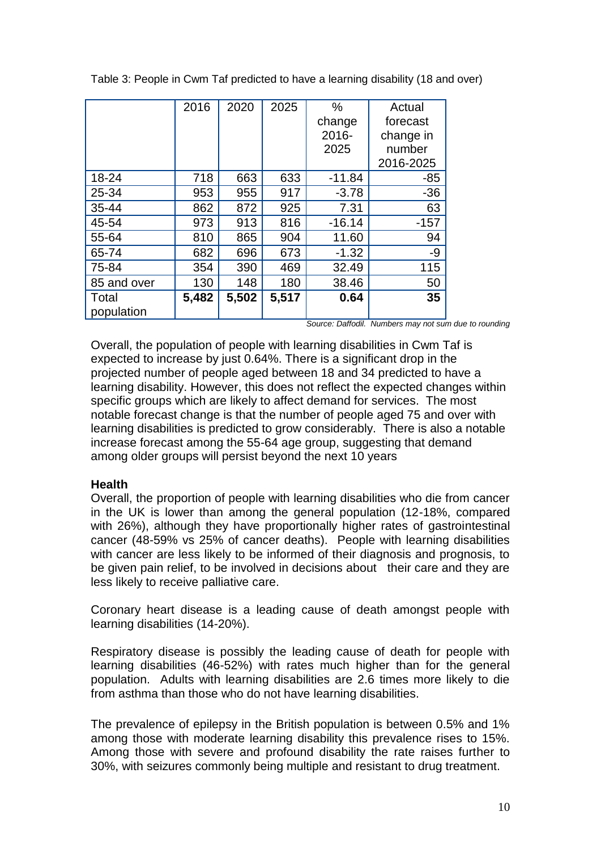|                     | 2016  | 2020  | 2025  | $\%$<br>change<br>2016-<br>2025 | Actual<br>forecast<br>change in<br>number<br>2016-2025 |
|---------------------|-------|-------|-------|---------------------------------|--------------------------------------------------------|
| 18-24               | 718   | 663   | 633   | $-11.84$                        | -85                                                    |
| 25-34               | 953   | 955   | 917   | $-3.78$                         | $-36$                                                  |
| $35 - 44$           | 862   | 872   | 925   | 7.31                            | 63                                                     |
| 45-54               | 973   | 913   | 816   | $-16.14$                        | $-157$                                                 |
| 55-64               | 810   | 865   | 904   | 11.60                           | 94                                                     |
| 65-74               | 682   | 696   | 673   | $-1.32$                         | -9                                                     |
| 75-84               | 354   | 390   | 469   | 32.49                           | 115                                                    |
| 85 and over         | 130   | 148   | 180   | 38.46                           | 50                                                     |
| Total<br>population | 5,482 | 5,502 | 5,517 | 0.64                            | 35                                                     |

Table 3: People in Cwm Taf predicted to have a learning disability (18 and over)

*Source: Daffodil. Numbers may not sum due to rounding*

Overall, the population of people with learning disabilities in Cwm Taf is expected to increase by just 0.64%. There is a significant drop in the projected number of people aged between 18 and 34 predicted to have a learning disability. However, this does not reflect the expected changes within specific groups which are likely to affect demand for services. The most notable forecast change is that the number of people aged 75 and over with learning disabilities is predicted to grow considerably. There is also a notable increase forecast among the 55-64 age group, suggesting that demand among older groups will persist beyond the next 10 years

# **Health**

Overall, the proportion of people with learning disabilities who die from cancer in the UK is lower than among the general population (12-18%, compared with 26%), although they have proportionally higher rates of gastrointestinal cancer (48-59% vs 25% of cancer deaths). People with learning disabilities with cancer are less likely to be informed of their diagnosis and prognosis, to be given pain relief, to be involved in decisions about their care and they are less likely to receive palliative care.

Coronary heart disease is a leading cause of death amongst people with learning disabilities (14-20%).

Respiratory disease is possibly the leading cause of death for people with learning disabilities (46-52%) with rates much higher than for the general population. Adults with learning disabilities are 2.6 times more likely to die from asthma than those who do not have learning disabilities.

The prevalence of epilepsy in the British population is between 0.5% and 1% among those with moderate learning disability this prevalence rises to 15%. Among those with severe and profound disability the rate raises further to 30%, with seizures commonly being multiple and resistant to drug treatment.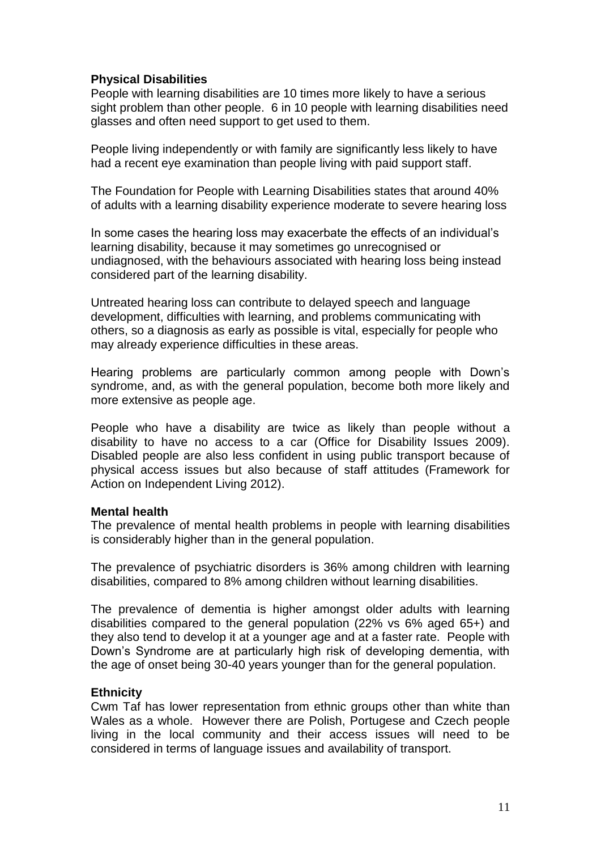## **Physical Disabilities**

People with learning disabilities are 10 times more likely to have a serious sight problem than other people. 6 in 10 people with learning disabilities need glasses and often need support to get used to them.

People living independently or with family are significantly less likely to have had a recent eye examination than people living with paid support staff.

The Foundation for People with Learning Disabilities states that around 40% of adults with a learning disability experience moderate to severe hearing loss

In some cases the hearing loss may exacerbate the effects of an individual's learning disability, because it may sometimes go unrecognised or undiagnosed, with the behaviours associated with hearing loss being instead considered part of the learning disability.

Untreated hearing loss can contribute to delayed speech and language development, difficulties with learning, and problems communicating with others, so a diagnosis as early as possible is vital, especially for people who may already experience difficulties in these areas.

Hearing problems are particularly common among people with Down's syndrome, and, as with the general population, become both more likely and more extensive as people age.

People who have a disability are twice as likely than people without a disability to have no access to a car (Office for Disability Issues 2009). Disabled people are also less confident in using public transport because of physical access issues but also because of staff attitudes (Framework for Action on Independent Living 2012).

### **Mental health**

The prevalence of mental health problems in people with learning disabilities is considerably higher than in the general population.

The prevalence of psychiatric disorders is 36% among children with learning disabilities, compared to 8% among children without learning disabilities.

The prevalence of dementia is higher amongst older adults with learning disabilities compared to the general population (22% vs 6% aged 65+) and they also tend to develop it at a younger age and at a faster rate. People with Down's Syndrome are at particularly high risk of developing dementia, with the age of onset being 30-40 years younger than for the general population.

### **Ethnicity**

Cwm Taf has lower representation from ethnic groups other than white than Wales as a whole. However there are Polish, Portugese and Czech people living in the local community and their access issues will need to be considered in terms of language issues and availability of transport.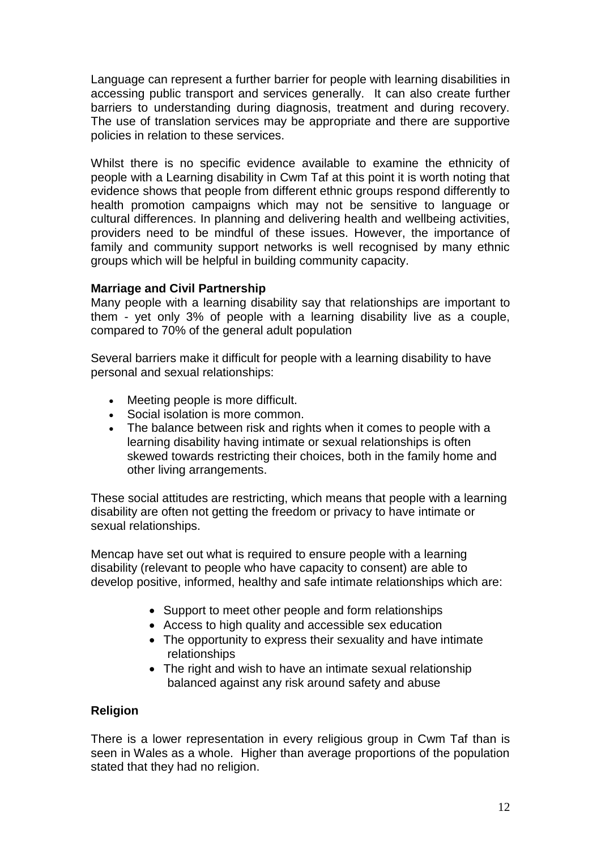Language can represent a further barrier for people with learning disabilities in accessing public transport and services generally. It can also create further barriers to understanding during diagnosis, treatment and during recovery. The use of translation services may be appropriate and there are supportive policies in relation to these services.

Whilst there is no specific evidence available to examine the ethnicity of people with a Learning disability in Cwm Taf at this point it is worth noting that evidence shows that people from different ethnic groups respond differently to health promotion campaigns which may not be sensitive to language or cultural differences. In planning and delivering health and wellbeing activities, providers need to be mindful of these issues. However, the importance of family and community support networks is well recognised by many ethnic groups which will be helpful in building community capacity.

### **Marriage and Civil Partnership**

Many people with a learning disability say that relationships are important to them - yet only 3% of people with a learning disability live as a couple, compared to 70% of the general adult population

Several barriers make it difficult for people with a learning disability to have personal and sexual relationships:

- Meeting people is more difficult.
- Social isolation is more common.
- The balance between risk and rights when it comes to people with a learning disability having intimate or sexual relationships is often skewed towards restricting their choices, both in the family home and other living arrangements.

These social attitudes are restricting, which means that people with a learning disability are often not getting the freedom or privacy to have intimate or sexual relationships.

Mencap have set out what is required to ensure people with a learning disability (relevant to people who have capacity to consent) are able to develop positive, informed, healthy and safe intimate relationships which are:

- Support to meet other people and form relationships
- Access to high quality and accessible sex education
- The opportunity to express their sexuality and have intimate relationships
- The right and wish to have an intimate sexual relationship balanced against any risk around safety and abuse

# **Religion**

There is a lower representation in every religious group in Cwm Taf than is seen in Wales as a whole. Higher than average proportions of the population stated that they had no religion.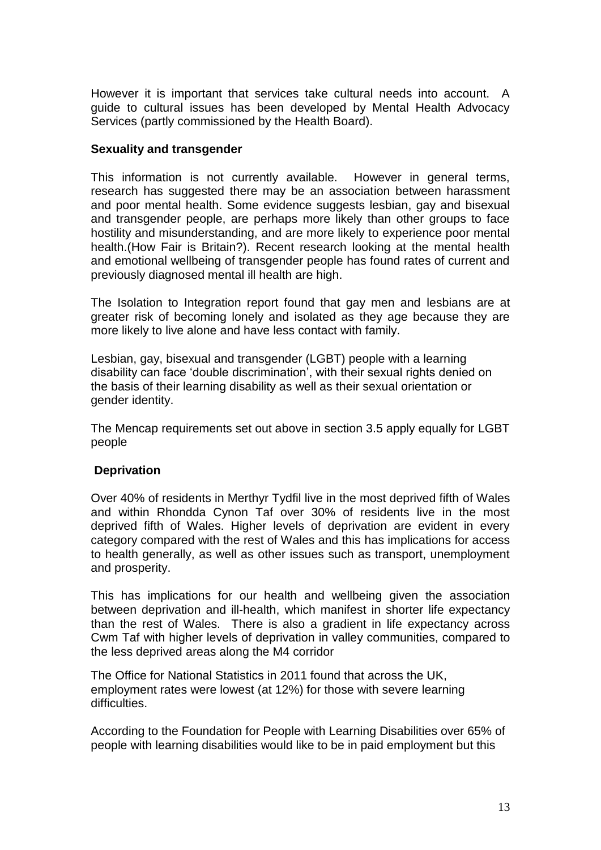However it is important that services take cultural needs into account. A guide to cultural issues has been developed by Mental Health Advocacy Services (partly commissioned by the Health Board).

### **Sexuality and transgender**

This information is not currently available. However in general terms, research has suggested there may be an association between harassment and poor mental health. Some evidence suggests lesbian, gay and bisexual and transgender people, are perhaps more likely than other groups to face hostility and misunderstanding, and are more likely to experience poor mental health.(How Fair is Britain?). Recent research looking at the mental health and emotional wellbeing of transgender people has found rates of current and previously diagnosed mental ill health are high.

The Isolation to Integration report found that gay men and lesbians are at greater risk of becoming lonely and isolated as they age because they are more likely to live alone and have less contact with family.

Lesbian, gay, bisexual and transgender (LGBT) people with a learning disability can face 'double discrimination', with their sexual rights denied on the basis of their learning disability as well as their sexual orientation or gender identity.

The Mencap requirements set out above in section 3.5 apply equally for LGBT people

### **Deprivation**

Over 40% of residents in Merthyr Tydfil live in the most deprived fifth of Wales and within Rhondda Cynon Taf over 30% of residents live in the most deprived fifth of Wales. Higher levels of deprivation are evident in every category compared with the rest of Wales and this has implications for access to health generally, as well as other issues such as transport, unemployment and prosperity.

This has implications for our health and wellbeing given the association between deprivation and ill-health, which manifest in shorter life expectancy than the rest of Wales. There is also a gradient in life expectancy across Cwm Taf with higher levels of deprivation in valley communities, compared to the less deprived areas along the M4 corridor

The Office for National Statistics in 2011 found that across the UK, employment rates were lowest (at 12%) for those with severe learning difficulties.

According to the Foundation for People with Learning Disabilities over 65% of people with learning disabilities would like to be in paid employment but this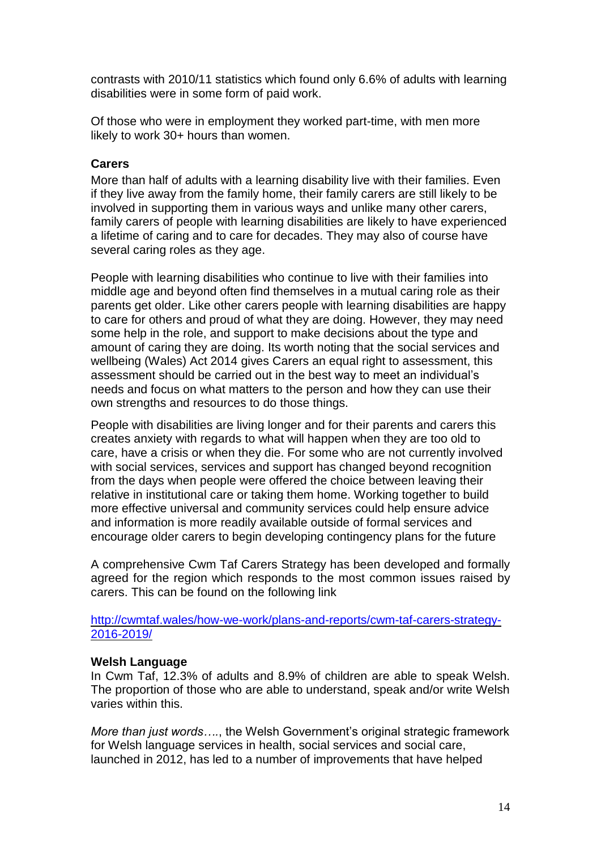contrasts with 2010/11 statistics which found only 6.6% of adults with learning disabilities were in some form of paid work.

Of those who were in employment they worked part-time, with men more likely to work 30+ hours than women.

#### **Carers**

More than half of adults with a learning disability live with their families. Even if they live away from the family home, their family carers are still likely to be involved in supporting them in various ways and unlike many other carers, family carers of people with learning disabilities are likely to have experienced a lifetime of caring and to care for decades. They may also of course have several caring roles as they age.

People with learning disabilities who continue to live with their families into middle age and beyond often find themselves in a mutual caring role as their parents get older. Like other carers people with learning disabilities are happy to care for others and proud of what they are doing. However, they may need some help in the role, and support to make decisions about the type and amount of caring they are doing. Its worth noting that the social services and wellbeing (Wales) Act 2014 gives Carers an equal right to assessment, this assessment should be carried out in the best way to meet an individual's needs and focus on what matters to the person and how they can use their own strengths and resources to do those things.

People with disabilities are living longer and for their parents and carers this creates anxiety with regards to what will happen when they are too old to care, have a crisis or when they die. For some who are not currently involved with social services, services and support has changed beyond recognition from the days when people were offered the choice between leaving their relative in institutional care or taking them home. Working together to build more effective universal and community services could help ensure advice and information is more readily available outside of formal services and encourage older carers to begin developing contingency plans for the future

A comprehensive Cwm Taf Carers Strategy has been developed and formally agreed for the region which responds to the most common issues raised by carers. This can be found on the following link

[http://cwmtaf.wales/how-we-work/plans-and-reports/cwm-taf-carers-strategy-](http://cwmtaf.wales/how-we-work/plans-and-reports/cwm-taf-carers-strategy-2016-2019/)[2016-2019/](http://cwmtaf.wales/how-we-work/plans-and-reports/cwm-taf-carers-strategy-2016-2019/)

#### **Welsh Language**

In Cwm Taf, 12.3% of adults and 8.9% of children are able to speak Welsh. The proportion of those who are able to understand, speak and/or write Welsh varies within this.

*More than just words….*, the Welsh Government's original strategic framework for Welsh language services in health, social services and social care, launched in 2012, has led to a number of improvements that have helped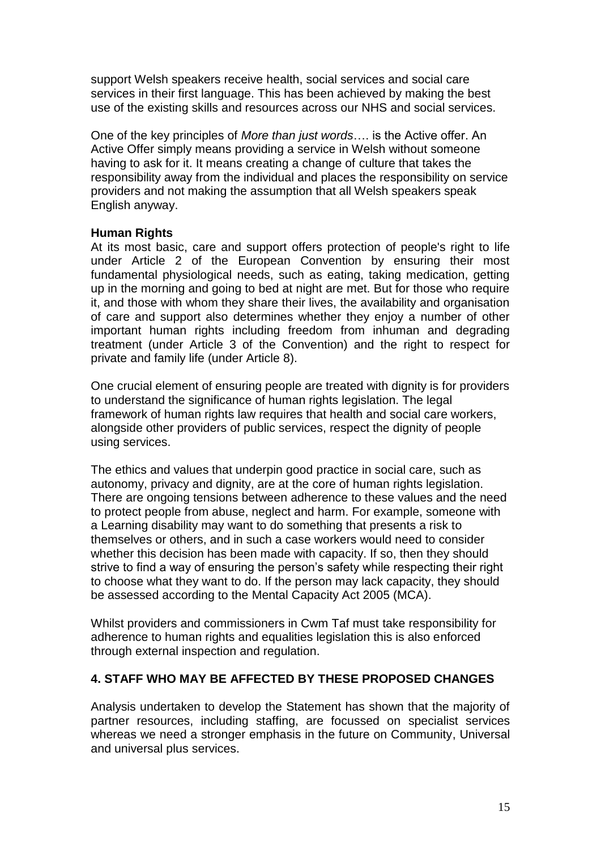support Welsh speakers receive health, social services and social care services in their first language. This has been achieved by making the best use of the existing skills and resources across our NHS and social services.

One of the key principles of *More than just words*…. is the Active offer. An Active Offer simply means providing a service in Welsh without someone having to ask for it. It means creating a change of culture that takes the responsibility away from the individual and places the responsibility on service providers and not making the assumption that all Welsh speakers speak English anyway.

### **Human Rights**

At its most basic, care and support offers protection of people's right to life under Article 2 of the European Convention by ensuring their most fundamental physiological needs, such as eating, taking medication, getting up in the morning and going to bed at night are met. But for those who require it, and those with whom they share their lives, the availability and organisation of care and support also determines whether they enjoy a number of other important human rights including freedom from inhuman and degrading treatment (under Article 3 of the Convention) and the right to respect for private and family life (under Article 8).

One crucial element of ensuring people are treated with dignity is for providers to understand the significance of human rights legislation. The legal framework of human rights law requires that health and social care workers, alongside other providers of public services, respect the dignity of people using services.

The ethics and values that underpin good practice in social care, such as autonomy, privacy and dignity, are at the core of human rights legislation. There are ongoing tensions between adherence to these values and the need to protect people from abuse, neglect and harm. For example, someone with a Learning disability may want to do something that presents a risk to themselves or others, and in such a case workers would need to consider whether this decision has been made with capacity. If so, then they should strive to find a way of ensuring the person's safety while respecting their right to choose what they want to do. If the person may lack capacity, they should be assessed according to the Mental Capacity Act 2005 (MCA).

Whilst providers and commissioners in Cwm Taf must take responsibility for adherence to human rights and equalities legislation this is also enforced through external inspection and regulation.

### **4. STAFF WHO MAY BE AFFECTED BY THESE PROPOSED CHANGES**

Analysis undertaken to develop the Statement has shown that the majority of partner resources, including staffing, are focussed on specialist services whereas we need a stronger emphasis in the future on Community, Universal and universal plus services.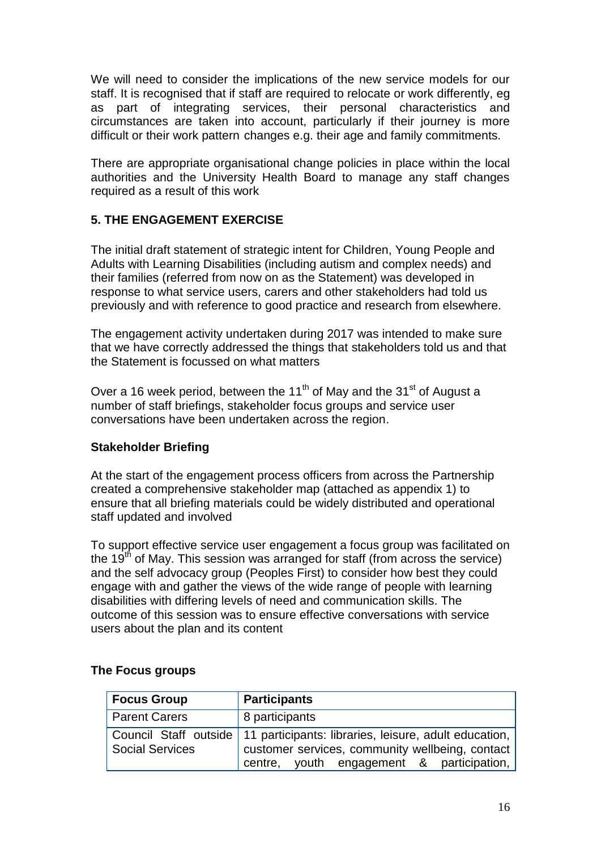We will need to consider the implications of the new service models for our staff. It is recognised that if staff are required to relocate or work differently, eg as part of integrating services, their personal characteristics and circumstances are taken into account, particularly if their journey is more difficult or their work pattern changes e.g. their age and family commitments.

There are appropriate organisational change policies in place within the local authorities and the University Health Board to manage any staff changes required as a result of this work

# **5. THE ENGAGEMENT EXERCISE**

The initial draft statement of strategic intent for Children, Young People and Adults with Learning Disabilities (including autism and complex needs) and their families (referred from now on as the Statement) was developed in response to what service users, carers and other stakeholders had told us previously and with reference to good practice and research from elsewhere.

The engagement activity undertaken during 2017 was intended to make sure that we have correctly addressed the things that stakeholders told us and that the Statement is focussed on what matters

Over a 16 week period, between the 11<sup>th</sup> of May and the 31<sup>st</sup> of August a number of staff briefings, stakeholder focus groups and service user conversations have been undertaken across the region.

# **Stakeholder Briefing**

At the start of the engagement process officers from across the Partnership created a comprehensive stakeholder map (attached as appendix 1) to ensure that all briefing materials could be widely distributed and operational staff updated and involved

To support effective service user engagement a focus group was facilitated on the 19<sup>th</sup> of May. This session was arranged for staff (from across the service) and the self advocacy group (Peoples First) to consider how best they could engage with and gather the views of the wide range of people with learning disabilities with differing levels of need and communication skills. The outcome of this session was to ensure effective conversations with service users about the plan and its content

| <b>Focus Group</b>     | <b>Participants</b>                                                                                                                                                           |
|------------------------|-------------------------------------------------------------------------------------------------------------------------------------------------------------------------------|
| <b>Parent Carers</b>   | 8 participants                                                                                                                                                                |
| <b>Social Services</b> | Council Staff outside   11 participants: libraries, leisure, adult education,<br>customer services, community wellbeing, contact<br>centre, youth engagement & participation, |

### **The Focus groups**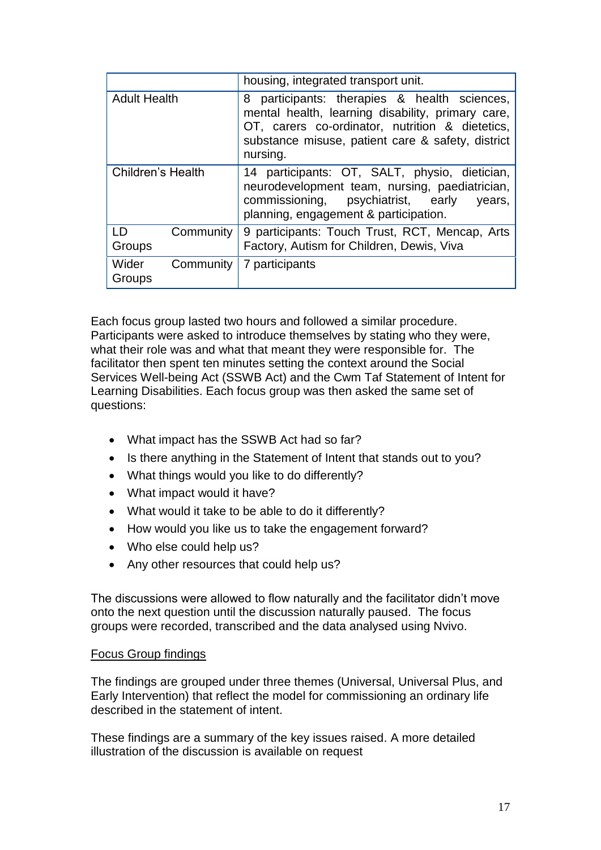|                              | housing, integrated transport unit.                                                                                                                                                                                      |
|------------------------------|--------------------------------------------------------------------------------------------------------------------------------------------------------------------------------------------------------------------------|
| <b>Adult Health</b>          | participants: therapies & health sciences,<br>8<br>mental health, learning disability, primary care,<br>OT, carers co-ordinator, nutrition & dietetics,<br>substance misuse, patient care & safety, district<br>nursing. |
| Children's Health            | 14 participants: OT, SALT, physio, dietician,<br>neurodevelopment team, nursing, paediatrician,<br>commissioning,<br>psychiatrist, early<br>years,<br>planning, engagement & participation.                              |
| LD<br>Community<br>Groups    | 9 participants: Touch Trust, RCT, Mencap, Arts<br>Factory, Autism for Children, Dewis, Viva                                                                                                                              |
| Wider<br>Community<br>Groups | 7 participants                                                                                                                                                                                                           |

Each focus group lasted two hours and followed a similar procedure. Participants were asked to introduce themselves by stating who they were, what their role was and what that meant they were responsible for. The facilitator then spent ten minutes setting the context around the Social Services Well-being Act (SSWB Act) and the Cwm Taf Statement of Intent for Learning Disabilities. Each focus group was then asked the same set of questions:

- What impact has the SSWB Act had so far?
- Is there anything in the Statement of Intent that stands out to you?
- What things would you like to do differently?
- What impact would it have?
- What would it take to be able to do it differently?
- How would you like us to take the engagement forward?
- Who else could help us?
- Any other resources that could help us?

The discussions were allowed to flow naturally and the facilitator didn't move onto the next question until the discussion naturally paused. The focus groups were recorded, transcribed and the data analysed using Nvivo.

### Focus Group findings

The findings are grouped under three themes (Universal, Universal Plus, and Early Intervention) that reflect the model for commissioning an ordinary life described in the statement of intent.

These findings are a summary of the key issues raised. A more detailed illustration of the discussion is available on request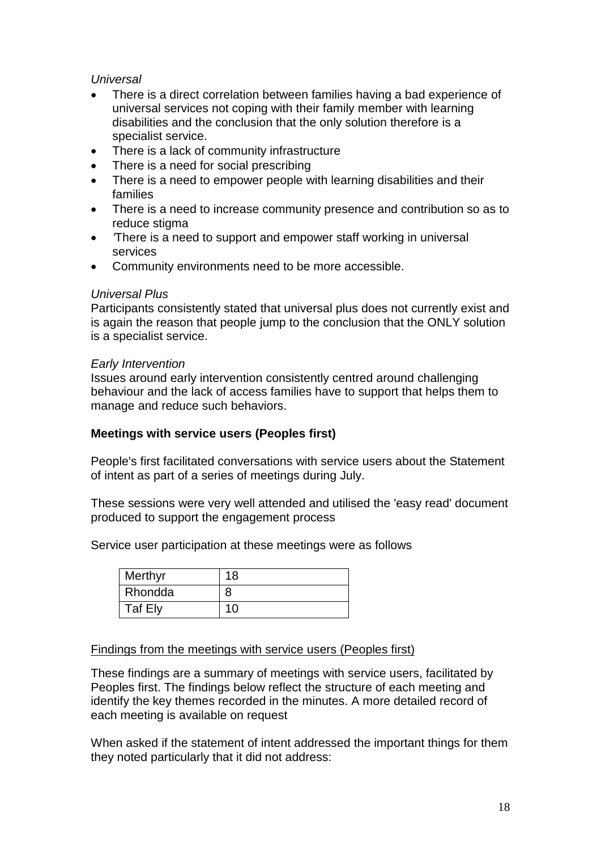# *Universal*

- There is a direct correlation between families having a bad experience of universal services not coping with their family member with learning disabilities and the conclusion that the only solution therefore is a specialist service.
- There is a lack of community infrastructure
- There is a need for social prescribing
- There is a need to empower people with learning disabilities and their families
- There is a need to increase community presence and contribution so as to reduce stigma
- *'*There is a need to support and empower staff working in universal services
- Community environments need to be more accessible.

### *Universal Plus*

Participants consistently stated that universal plus does not currently exist and is again the reason that people jump to the conclusion that the ONLY solution is a specialist service.

### *Early Intervention*

Issues around early intervention consistently centred around challenging behaviour and the lack of access families have to support that helps them to manage and reduce such behaviors.

### **Meetings with service users (Peoples first)**

People's first facilitated conversations with service users about the Statement of intent as part of a series of meetings during July.

These sessions were very well attended and utilised the 'easy read' document produced to support the engagement process

Service user participation at these meetings were as follows

| Merthyr | 18 |
|---------|----|
| Rhondda | 8  |
| Taf Ely | 10 |

### Findings from the meetings with service users (Peoples first)

These findings are a summary of meetings with service users, facilitated by Peoples first. The findings below reflect the structure of each meeting and identify the key themes recorded in the minutes. A more detailed record of each meeting is available on request

When asked if the statement of intent addressed the important things for them they noted particularly that it did not address: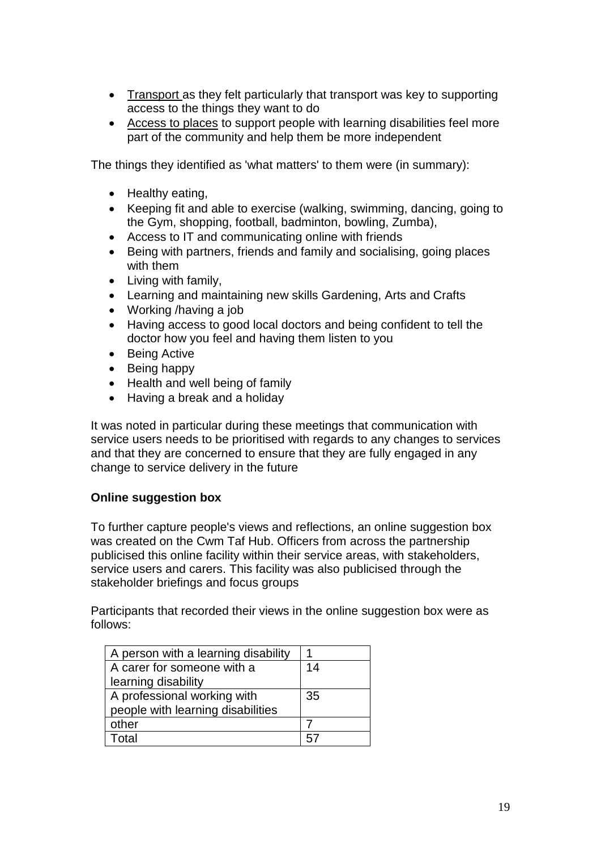- Transport as they felt particularly that transport was key to supporting access to the things they want to do
- Access to places to support people with learning disabilities feel more part of the community and help them be more independent

The things they identified as 'what matters' to them were (in summary):

- Healthy eating,
- Keeping fit and able to exercise (walking, swimming, dancing, going to the Gym, shopping, football, badminton, bowling, Zumba),
- Access to IT and communicating online with friends
- Being with partners, friends and family and socialising, going places with them
- Living with family,
- Learning and maintaining new skills Gardening, Arts and Crafts
- Working /having a job
- Having access to good local doctors and being confident to tell the doctor how you feel and having them listen to you
- Being Active
- Being happy
- Health and well being of family
- Having a break and a holiday

It was noted in particular during these meetings that communication with service users needs to be prioritised with regards to any changes to services and that they are concerned to ensure that they are fully engaged in any change to service delivery in the future

### **Online suggestion box**

To further capture people's views and reflections, an online suggestion box was created on the Cwm Taf Hub. Officers from across the partnership publicised this online facility within their service areas, with stakeholders, service users and carers. This facility was also publicised through the stakeholder briefings and focus groups

Participants that recorded their views in the online suggestion box were as follows:

| A person with a learning disability |    |
|-------------------------------------|----|
| A carer for someone with a          | 14 |
| learning disability                 |    |
| A professional working with         | 35 |
| people with learning disabilities   |    |
| other                               |    |
| Total                               |    |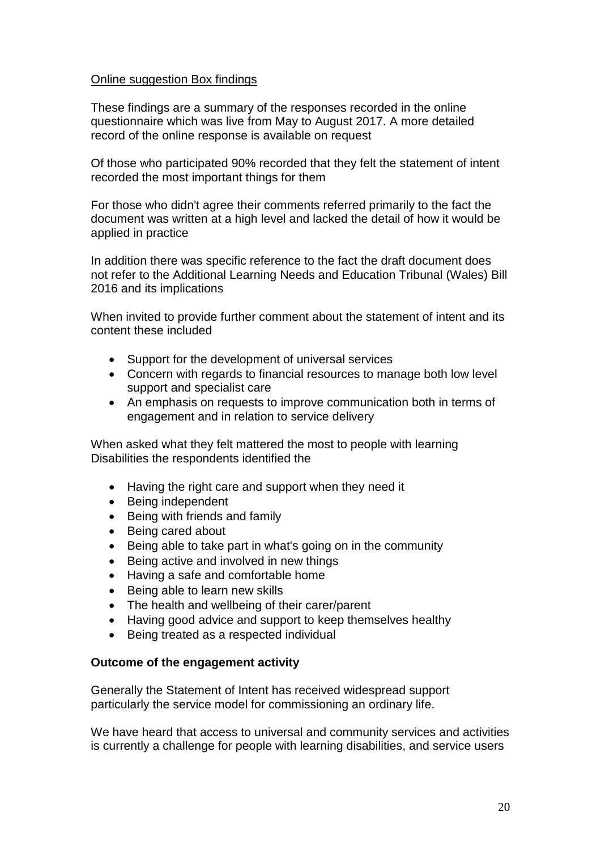### Online suggestion Box findings

These findings are a summary of the responses recorded in the online questionnaire which was live from May to August 2017. A more detailed record of the online response is available on request

Of those who participated 90% recorded that they felt the statement of intent recorded the most important things for them

For those who didn't agree their comments referred primarily to the fact the document was written at a high level and lacked the detail of how it would be applied in practice

In addition there was specific reference to the fact the draft document does not refer to the Additional Learning Needs and Education Tribunal (Wales) Bill 2016 and its implications

When invited to provide further comment about the statement of intent and its content these included

- Support for the development of universal services
- Concern with regards to financial resources to manage both low level support and specialist care
- An emphasis on requests to improve communication both in terms of engagement and in relation to service delivery

When asked what they felt mattered the most to people with learning Disabilities the respondents identified the

- Having the right care and support when they need it
- Being independent
- Being with friends and family
- Being cared about
- Being able to take part in what's going on in the community
- Being active and involved in new things
- Having a safe and comfortable home
- Being able to learn new skills
- The health and wellbeing of their carer/parent
- Having good advice and support to keep themselves healthy
- Being treated as a respected individual

#### **Outcome of the engagement activity**

Generally the Statement of Intent has received widespread support particularly the service model for commissioning an ordinary life.

We have heard that access to universal and community services and activities is currently a challenge for people with learning disabilities, and service users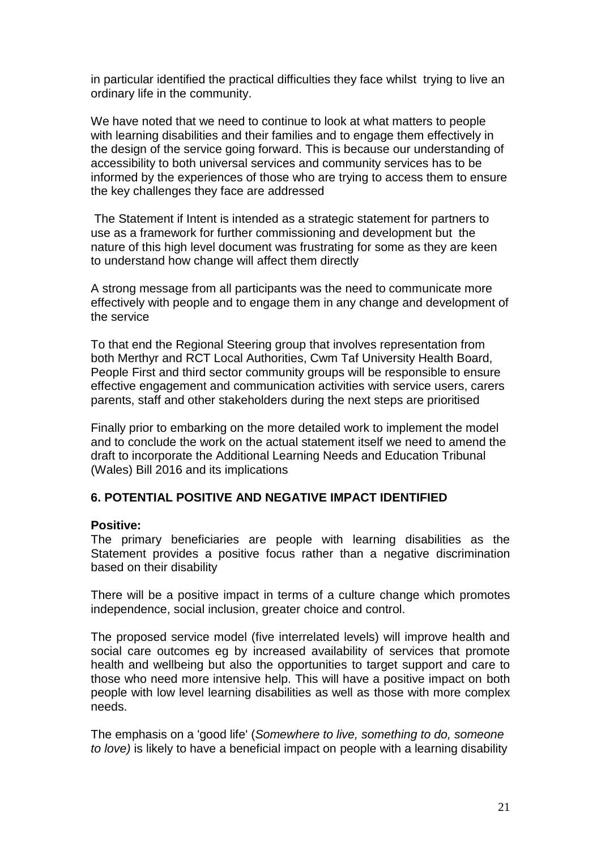in particular identified the practical difficulties they face whilst trying to live an ordinary life in the community.

We have noted that we need to continue to look at what matters to people with learning disabilities and their families and to engage them effectively in the design of the service going forward. This is because our understanding of accessibility to both universal services and community services has to be informed by the experiences of those who are trying to access them to ensure the key challenges they face are addressed

The Statement if Intent is intended as a strategic statement for partners to use as a framework for further commissioning and development but the nature of this high level document was frustrating for some as they are keen to understand how change will affect them directly

A strong message from all participants was the need to communicate more effectively with people and to engage them in any change and development of the service

To that end the Regional Steering group that involves representation from both Merthyr and RCT Local Authorities, Cwm Taf University Health Board, People First and third sector community groups will be responsible to ensure effective engagement and communication activities with service users, carers parents, staff and other stakeholders during the next steps are prioritised

Finally prior to embarking on the more detailed work to implement the model and to conclude the work on the actual statement itself we need to amend the draft to incorporate the Additional Learning Needs and Education Tribunal (Wales) Bill 2016 and its implications

### **6. POTENTIAL POSITIVE AND NEGATIVE IMPACT IDENTIFIED**

### **Positive:**

The primary beneficiaries are people with learning disabilities as the Statement provides a positive focus rather than a negative discrimination based on their disability

There will be a positive impact in terms of a culture change which promotes independence, social inclusion, greater choice and control.

The proposed service model (five interrelated levels) will improve health and social care outcomes eg by increased availability of services that promote health and wellbeing but also the opportunities to target support and care to those who need more intensive help. This will have a positive impact on both people with low level learning disabilities as well as those with more complex needs.

The emphasis on a 'good life' (*Somewhere to live, something to do, someone to love)* is likely to have a beneficial impact on people with a learning disability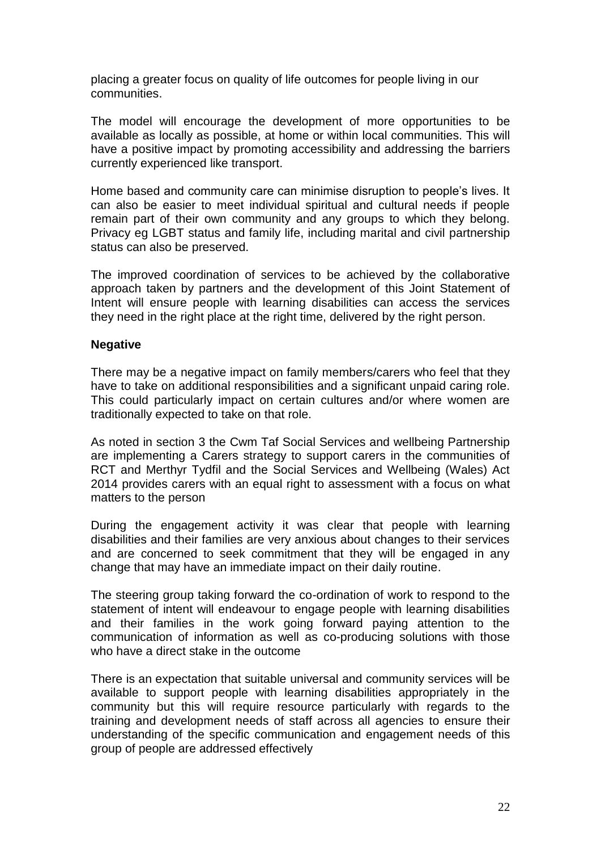placing a greater focus on quality of life outcomes for people living in our communities.

The model will encourage the development of more opportunities to be available as locally as possible, at home or within local communities. This will have a positive impact by promoting accessibility and addressing the barriers currently experienced like transport.

Home based and community care can minimise disruption to people's lives. It can also be easier to meet individual spiritual and cultural needs if people remain part of their own community and any groups to which they belong. Privacy eg LGBT status and family life, including marital and civil partnership status can also be preserved.

The improved coordination of services to be achieved by the collaborative approach taken by partners and the development of this Joint Statement of Intent will ensure people with learning disabilities can access the services they need in the right place at the right time, delivered by the right person.

### **Negative**

There may be a negative impact on family members/carers who feel that they have to take on additional responsibilities and a significant unpaid caring role. This could particularly impact on certain cultures and/or where women are traditionally expected to take on that role.

As noted in section 3 the Cwm Taf Social Services and wellbeing Partnership are implementing a Carers strategy to support carers in the communities of RCT and Merthyr Tydfil and the Social Services and Wellbeing (Wales) Act 2014 provides carers with an equal right to assessment with a focus on what matters to the person

During the engagement activity it was clear that people with learning disabilities and their families are very anxious about changes to their services and are concerned to seek commitment that they will be engaged in any change that may have an immediate impact on their daily routine.

The steering group taking forward the co-ordination of work to respond to the statement of intent will endeavour to engage people with learning disabilities and their families in the work going forward paying attention to the communication of information as well as co-producing solutions with those who have a direct stake in the outcome

There is an expectation that suitable universal and community services will be available to support people with learning disabilities appropriately in the community but this will require resource particularly with regards to the training and development needs of staff across all agencies to ensure their understanding of the specific communication and engagement needs of this group of people are addressed effectively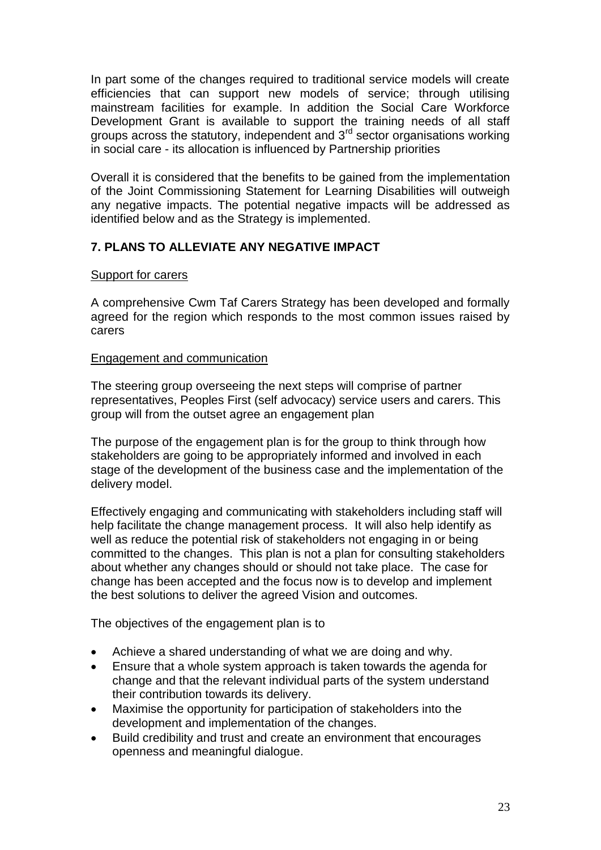In part some of the changes required to traditional service models will create efficiencies that can support new models of service; through utilising mainstream facilities for example. In addition the Social Care Workforce Development Grant is available to support the training needs of all staff groups across the statutory, independent and 3rd sector organisations working in social care - its allocation is influenced by Partnership priorities

Overall it is considered that the benefits to be gained from the implementation of the Joint Commissioning Statement for Learning Disabilities will outweigh any negative impacts. The potential negative impacts will be addressed as identified below and as the Strategy is implemented.

# **7. PLANS TO ALLEVIATE ANY NEGATIVE IMPACT**

### Support for carers

A comprehensive Cwm Taf Carers Strategy has been developed and formally agreed for the region which responds to the most common issues raised by carers

## Engagement and communication

The steering group overseeing the next steps will comprise of partner representatives, Peoples First (self advocacy) service users and carers. This group will from the outset agree an engagement plan

The purpose of the engagement plan is for the group to think through how stakeholders are going to be appropriately informed and involved in each stage of the development of the business case and the implementation of the delivery model.

Effectively engaging and communicating with stakeholders including staff will help facilitate the change management process. It will also help identify as well as reduce the potential risk of stakeholders not engaging in or being committed to the changes. This plan is not a plan for consulting stakeholders about whether any changes should or should not take place. The case for change has been accepted and the focus now is to develop and implement the best solutions to deliver the agreed Vision and outcomes.

The objectives of the engagement plan is to

- Achieve a shared understanding of what we are doing and why.
- Ensure that a whole system approach is taken towards the agenda for change and that the relevant individual parts of the system understand their contribution towards its delivery.
- Maximise the opportunity for participation of stakeholders into the development and implementation of the changes.
- Build credibility and trust and create an environment that encourages openness and meaningful dialogue.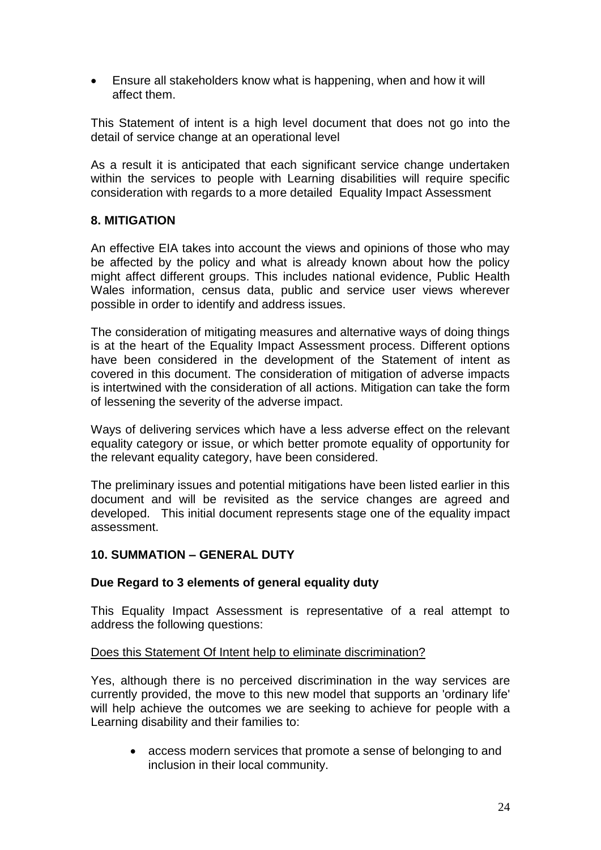Ensure all stakeholders know what is happening, when and how it will affect them.

This Statement of intent is a high level document that does not go into the detail of service change at an operational level

As a result it is anticipated that each significant service change undertaken within the services to people with Learning disabilities will require specific consideration with regards to a more detailed Equality Impact Assessment

## **8. MITIGATION**

An effective EIA takes into account the views and opinions of those who may be affected by the policy and what is already known about how the policy might affect different groups. This includes national evidence, Public Health Wales information, census data, public and service user views wherever possible in order to identify and address issues.

The consideration of mitigating measures and alternative ways of doing things is at the heart of the Equality Impact Assessment process. Different options have been considered in the development of the Statement of intent as covered in this document. The consideration of mitigation of adverse impacts is intertwined with the consideration of all actions. Mitigation can take the form of lessening the severity of the adverse impact.

Ways of delivering services which have a less adverse effect on the relevant equality category or issue, or which better promote equality of opportunity for the relevant equality category, have been considered.

The preliminary issues and potential mitigations have been listed earlier in this document and will be revisited as the service changes are agreed and developed. This initial document represents stage one of the equality impact assessment.

### **10. SUMMATION – GENERAL DUTY**

### **Due Regard to 3 elements of general equality duty**

This Equality Impact Assessment is representative of a real attempt to address the following questions:

### Does this Statement Of Intent help to eliminate discrimination?

Yes, although there is no perceived discrimination in the way services are currently provided, the move to this new model that supports an 'ordinary life' will help achieve the outcomes we are seeking to achieve for people with a Learning disability and their families to:

 access modern services that promote a sense of belonging to and inclusion in their local community.